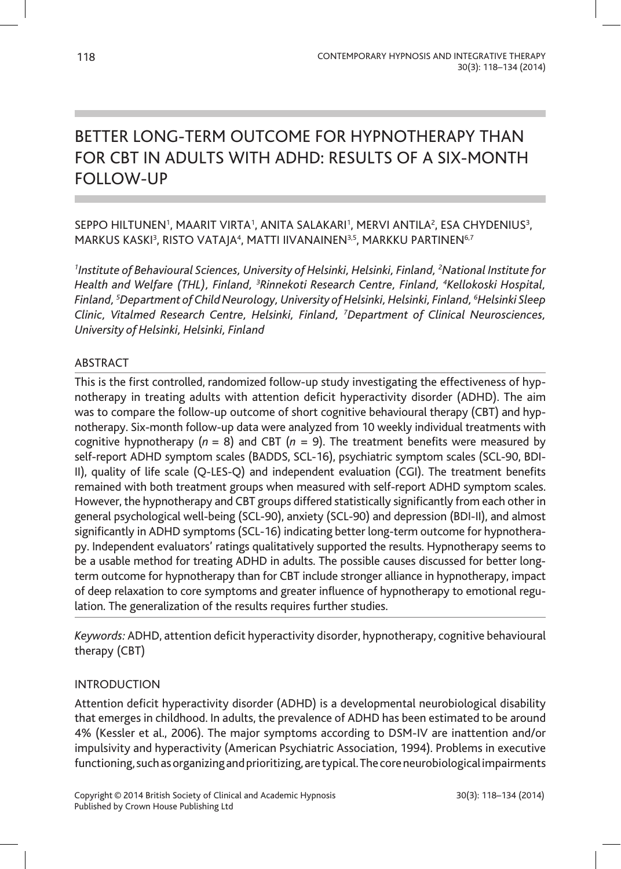# BETTER LONG-TERM OUTCOME FOR HYPNOTHERAPY THAN FOR CBT IN ADULTS WITH ADHD: RESULTS OF A SIX-MONTH FOLLOW-UP

# SEPPO HILTUNEN', MAARIT VIRTA', ANITA SALAKARI', MERVI ANTILA', ESA CHYDENIUS<sup>3</sup>, MARKUS KASKI<sup>3</sup>, RISTO VATAJA<sup>4</sup>, MATTI IIVANAINEN<sup>3,5</sup>, MARKKU PARTINEN<sup>6,7</sup>

*1 Institute of Behavioural Sciences, University of Helsinki, Helsinki, Finland, 2 National Institute for Health and Welfare (THL), Finland, 3 Rinnekoti Research Centre, Finland, 4 Kellokoski Hospital, Finland, 5 Department of Child Neurology, University of Helsinki, Helsinki, Finland, 6 Helsinki Sleep Clinic, Vitalmed Research Centre, Helsinki, Finland, 7 Department of Clinical Neurosciences, University of Helsinki, Helsinki, Finland*

## ABSTRACT

This is the first controlled, randomized follow-up study investigating the effectiveness of hypnotherapy in treating adults with attention deficit hyperactivity disorder (ADHD). The aim was to compare the follow-up outcome of short cognitive behavioural therapy (CBT) and hypnotherapy. Six-month follow-up data were analyzed from 10 weekly individual treatments with cognitive hypnotherapy  $(n = 8)$  and CBT  $(n = 9)$ . The treatment benefits were measured by self-report ADHD symptom scales (BADDS, SCL-16), psychiatric symptom scales (SCL-90, BDI-II), quality of life scale (Q-LES-Q) and independent evaluation (CGI). The treatment benefits remained with both treatment groups when measured with self-report ADHD symptom scales. However, the hypnotherapy and CBT groups differed statistically significantly from each other in general psychological well-being (SCL-90), anxiety (SCL-90) and depression (BDI-II), and almost significantly in ADHD symptoms (SCL-16) indicating better long-term outcome for hypnotherapy. Independent evaluators' ratings qualitatively supported the results. Hypnotherapy seems to be a usable method for treating ADHD in adults. The possible causes discussed for better longterm outcome for hypnotherapy than for CBT include stronger alliance in hypnotherapy, impact of deep relaxation to core symptoms and greater influence of hypnotherapy to emotional regulation. The generalization of the results requires further studies.

*Keywords:* ADHD, attention deficit hyperactivity disorder, hypnotherapy, cognitive behavioural therapy (CBT)

# INTRODUCTION

Attention deficit hyperactivity disorder (ADHD) is a developmental neurobiological disability that emerges in childhood. In adults, the prevalence of ADHD has been estimated to be around 4% (Kessler et al., 2006). The major symptoms according to DSM-IV are inattention and/or impulsivity and hyperactivity (American Psychiatric Association, 1994). Problems in executive functioning, such as organizing and prioritizing, are typical. The core neurobiological impairments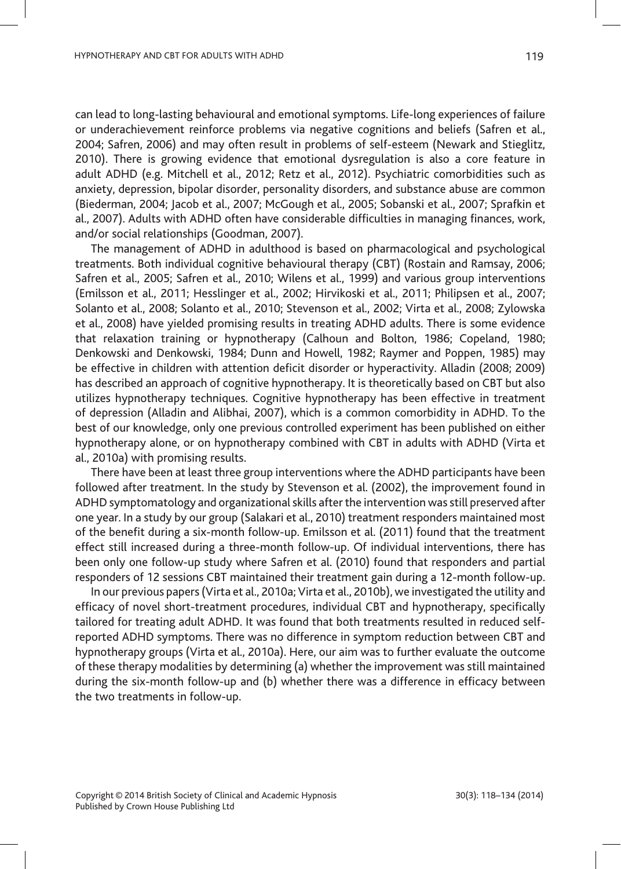can lead to long-lasting behavioural and emotional symptoms. Life-long experiences of failure or underachievement reinforce problems via negative cognitions and beliefs (Safren et al., 2004; Safren, 2006) and may often result in problems of self-esteem (Newark and Stieglitz, 2010). There is growing evidence that emotional dysregulation is also a core feature in adult ADHD (e.g. Mitchell et al., 2012; Retz et al., 2012). Psychiatric comorbidities such as anxiety, depression, bipolar disorder, personality disorders, and substance abuse are common (Biederman, 2004; Jacob et al., 2007; McGough et al., 2005; Sobanski et al., 2007; Sprafkin et al., 2007). Adults with ADHD often have considerable difficulties in managing finances, work, and/or social relationships (Goodman, 2007).

The management of ADHD in adulthood is based on pharmacological and psychological treatments. Both individual cognitive behavioural therapy (CBT) (Rostain and Ramsay, 2006; Safren et al., 2005; Safren et al., 2010; Wilens et al., 1999) and various group interventions (Emilsson et al., 2011; Hesslinger et al., 2002; Hirvikoski et al., 2011; Philipsen et al., 2007; Solanto et al., 2008; Solanto et al., 2010; Stevenson et al., 2002; Virta et al., 2008; Zylowska et al., 2008) have yielded promising results in treating ADHD adults. There is some evidence that relaxation training or hypnotherapy (Calhoun and Bolton, 1986; Copeland, 1980; Denkowski and Denkowski, 1984; Dunn and Howell, 1982; Raymer and Poppen, 1985) may be effective in children with attention deficit disorder or hyperactivity. Alladin (2008; 2009) has described an approach of cognitive hypnotherapy. It is theoretically based on CBT but also utilizes hypnotherapy techniques. Cognitive hypnotherapy has been effective in treatment of depression (Alladin and Alibhai, 2007), which is a common comorbidity in ADHD. To the best of our knowledge, only one previous controlled experiment has been published on either hypnotherapy alone, or on hypnotherapy combined with CBT in adults with ADHD (Virta et al., 2010a) with promising results.

There have been at least three group interventions where the ADHD participants have been followed after treatment. In the study by Stevenson et al. (2002), the improvement found in ADHD symptomatology and organizational skills after the intervention was still preserved after one year. In a study by our group (Salakari et al., 2010) treatment responders maintained most of the benefit during a six-month follow-up. Emilsson et al. (2011) found that the treatment effect still increased during a three-month follow-up. Of individual interventions, there has been only one follow-up study where Safren et al. (2010) found that responders and partial responders of 12 sessions CBT maintained their treatment gain during a 12-month follow-up.

In our previous papers (Virta et al., 2010a; Virta et al., 2010b), we investigated the utility and efficacy of novel short-treatment procedures, individual CBT and hypnotherapy, specifically tailored for treating adult ADHD. It was found that both treatments resulted in reduced selfreported ADHD symptoms. There was no difference in symptom reduction between CBT and hypnotherapy groups (Virta et al., 2010a). Here, our aim was to further evaluate the outcome of these therapy modalities by determining (a) whether the improvement was still maintained during the six-month follow-up and (b) whether there was a difference in efficacy between the two treatments in follow-up.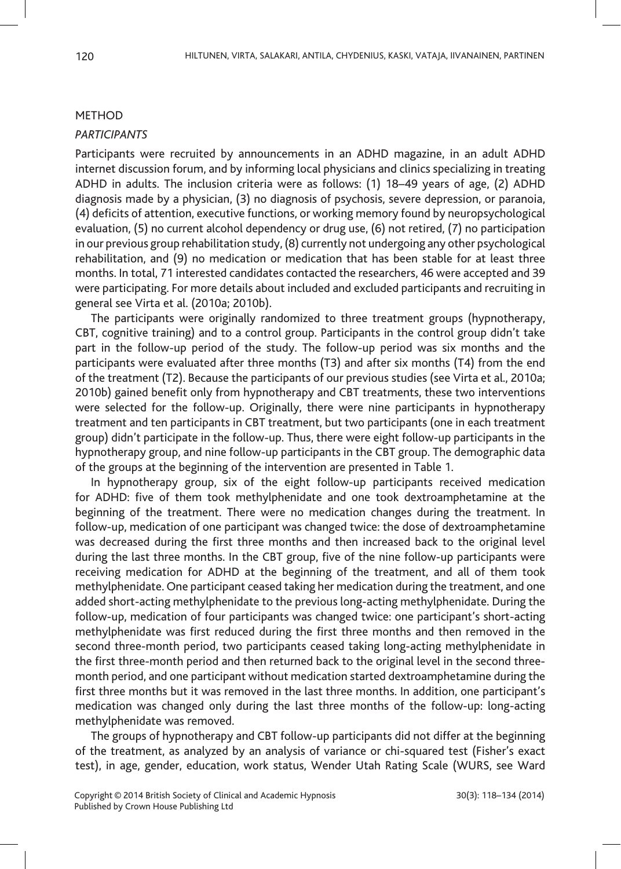#### METHOD

## *PARTICIPANTS*

Participants were recruited by announcements in an ADHD magazine, in an adult ADHD internet discussion forum, and by informing local physicians and clinics specializing in treating ADHD in adults. The inclusion criteria were as follows: (1) 18–49 years of age, (2) ADHD diagnosis made by a physician, (3) no diagnosis of psychosis, severe depression, or paranoia, (4) deficits of attention, executive functions, or working memory found by neuropsychological evaluation, (5) no current alcohol dependency or drug use, (6) not retired, (7) no participation in our previous group rehabilitation study, (8) currently not undergoing any other psychological rehabilitation, and (9) no medication or medication that has been stable for at least three months. In total, 71 interested candidates contacted the researchers, 46 were accepted and 39 were participating. For more details about included and excluded participants and recruiting in general see Virta et al. (2010a; 2010b).

The participants were originally randomized to three treatment groups (hypnotherapy, CBT, cognitive training) and to a control group. Participants in the control group didn't take part in the follow-up period of the study. The follow-up period was six months and the participants were evaluated after three months (T3) and after six months (T4) from the end of the treatment (T2). Because the participants of our previous studies (see Virta et al., 2010a; 2010b) gained benefit only from hypnotherapy and CBT treatments, these two interventions were selected for the follow-up. Originally, there were nine participants in hypnotherapy treatment and ten participants in CBT treatment, but two participants (one in each treatment group) didn't participate in the follow-up. Thus, there were eight follow-up participants in the hypnotherapy group, and nine follow-up participants in the CBT group. The demographic data of the groups at the beginning of the intervention are presented in Table 1.

In hypnotherapy group, six of the eight follow-up participants received medication for ADHD: five of them took methylphenidate and one took dextroamphetamine at the beginning of the treatment. There were no medication changes during the treatment. In follow-up, medication of one participant was changed twice: the dose of dextroamphetamine was decreased during the first three months and then increased back to the original level during the last three months. In the CBT group, five of the nine follow-up participants were receiving medication for ADHD at the beginning of the treatment, and all of them took methylphenidate. One participant ceased taking her medication during the treatment, and one added short-acting methylphenidate to the previous long-acting methylphenidate. During the follow-up, medication of four participants was changed twice: one participant's short-acting methylphenidate was first reduced during the first three months and then removed in the second three-month period, two participants ceased taking long-acting methylphenidate in the first three-month period and then returned back to the original level in the second threemonth period, and one participant without medication started dextroamphetamine during the first three months but it was removed in the last three months. In addition, one participant's medication was changed only during the last three months of the follow-up: long-acting methylphenidate was removed.

The groups of hypnotherapy and CBT follow-up participants did not differ at the beginning of the treatment, as analyzed by an analysis of variance or chi-squared test (Fisher's exact test), in age, gender, education, work status, Wender Utah Rating Scale (WURS, see Ward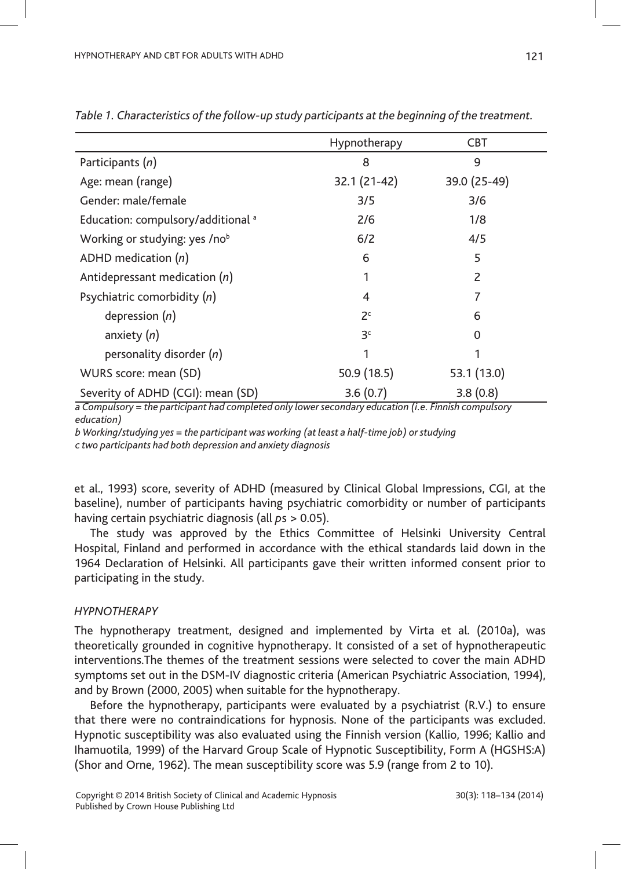|                                               | Hypnotherapy   | <b>CBT</b>   |  |
|-----------------------------------------------|----------------|--------------|--|
| Participants (n)                              | 8              | 9            |  |
| Age: mean (range)                             | 32.1 (21-42)   | 39.0 (25-49) |  |
| Gender: male/female                           | 3/5            | 3/6          |  |
| Education: compulsory/additional <sup>a</sup> | 2/6            | 1/8          |  |
| Working or studying: yes /nob                 | 6/2            | 4/5          |  |
| ADHD medication $(n)$                         | 6              | 5            |  |
| Antidepressant medication $(n)$               | 1              | 2            |  |
| Psychiatric comorbidity (n)                   | 4              | 7            |  |
| depression $(n)$                              | 2 <sup>c</sup> | 6            |  |
| anxiety $(n)$                                 | 3 <sup>c</sup> | $\Omega$     |  |
| personality disorder (n)                      | 1              | 1            |  |
| WURS score: mean (SD)                         | 50.9(18.5)     | 53.1 (13.0)  |  |
| Severity of ADHD (CGI): mean (SD)             | 3.6(0.7)       | 3.8(0.8)     |  |

*Table 1. Characteristics of the follow-up study participants at the beginning of the treatment.*

*a Compulsory = the participant had completed only lower secondary education (i.e. Finnish compulsory education)*

*b Working/studying yes = the participant was working (at least a half-time job) or studying c two participants had both depression and anxiety diagnosis*

et al., 1993) score, severity of ADHD (measured by Clinical Global Impressions, CGI, at the baseline), number of participants having psychiatric comorbidity or number of participants having certain psychiatric diagnosis (all *p*s > 0.05).

The study was approved by the Ethics Committee of Helsinki University Central Hospital, Finland and performed in accordance with the ethical standards laid down in the 1964 Declaration of Helsinki. All participants gave their written informed consent prior to participating in the study.

## *HYPNOTHERAPY*

The hypnotherapy treatment, designed and implemented by Virta et al. (2010a), was theoretically grounded in cognitive hypnotherapy. It consisted of a set of hypnotherapeutic interventions.The themes of the treatment sessions were selected to cover the main ADHD symptoms set out in the DSM-IV diagnostic criteria (American Psychiatric Association, 1994), and by Brown (2000, 2005) when suitable for the hypnotherapy.

Before the hypnotherapy, participants were evaluated by a psychiatrist (R.V.) to ensure that there were no contraindications for hypnosis. None of the participants was excluded. Hypnotic susceptibility was also evaluated using the Finnish version (Kallio, 1996; Kallio and Ihamuotila, 1999) of the Harvard Group Scale of Hypnotic Susceptibility, Form A (HGSHS:A) (Shor and Orne, 1962). The mean susceptibility score was 5.9 (range from 2 to 10).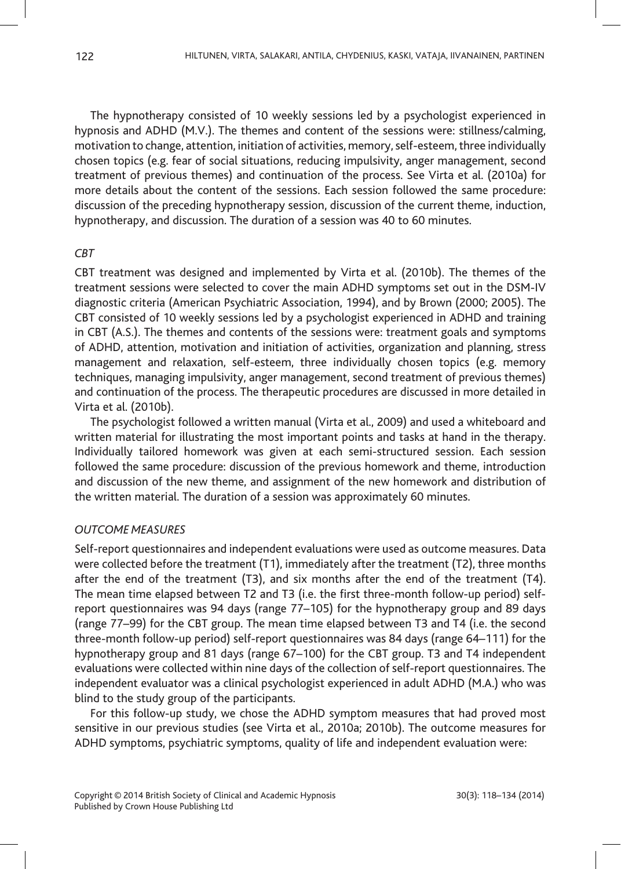The hypnotherapy consisted of 10 weekly sessions led by a psychologist experienced in hypnosis and ADHD (M.V.). The themes and content of the sessions were: stillness/calming, motivation to change, attention, initiation of activities, memory, self-esteem, three individually chosen topics (e.g. fear of social situations, reducing impulsivity, anger management, second treatment of previous themes) and continuation of the process. See Virta et al. (2010a) for more details about the content of the sessions. Each session followed the same procedure: discussion of the preceding hypnotherapy session, discussion of the current theme, induction, hypnotherapy, and discussion. The duration of a session was 40 to 60 minutes.

## *CBT*

CBT treatment was designed and implemented by Virta et al. (2010b). The themes of the treatment sessions were selected to cover the main ADHD symptoms set out in the DSM-IV diagnostic criteria (American Psychiatric Association, 1994), and by Brown (2000; 2005). The CBT consisted of 10 weekly sessions led by a psychologist experienced in ADHD and training in CBT (A.S.). The themes and contents of the sessions were: treatment goals and symptoms of ADHD, attention, motivation and initiation of activities, organization and planning, stress management and relaxation, self-esteem, three individually chosen topics (e.g. memory techniques, managing impulsivity, anger management, second treatment of previous themes) and continuation of the process. The therapeutic procedures are discussed in more detailed in Virta et al. (2010b).

The psychologist followed a written manual (Virta et al., 2009) and used a whiteboard and written material for illustrating the most important points and tasks at hand in the therapy. Individually tailored homework was given at each semi-structured session. Each session followed the same procedure: discussion of the previous homework and theme, introduction and discussion of the new theme, and assignment of the new homework and distribution of the written material. The duration of a session was approximately 60 minutes.

## *OUTCOME MEASURES*

Self-report questionnaires and independent evaluations were used as outcome measures. Data were collected before the treatment (T1), immediately after the treatment (T2), three months after the end of the treatment (T3), and six months after the end of the treatment (T4). The mean time elapsed between T2 and T3 (i.e. the first three-month follow-up period) selfreport questionnaires was 94 days (range 77–105) for the hypnotherapy group and 89 days (range 77–99) for the CBT group. The mean time elapsed between T3 and T4 (i.e. the second three-month follow-up period) self-report questionnaires was 84 days (range 64–111) for the hypnotherapy group and 81 days (range 67–100) for the CBT group. T3 and T4 independent evaluations were collected within nine days of the collection of self-report questionnaires. The independent evaluator was a clinical psychologist experienced in adult ADHD (M.A.) who was blind to the study group of the participants.

For this follow-up study, we chose the ADHD symptom measures that had proved most sensitive in our previous studies (see Virta et al., 2010a; 2010b). The outcome measures for ADHD symptoms, psychiatric symptoms, quality of life and independent evaluation were: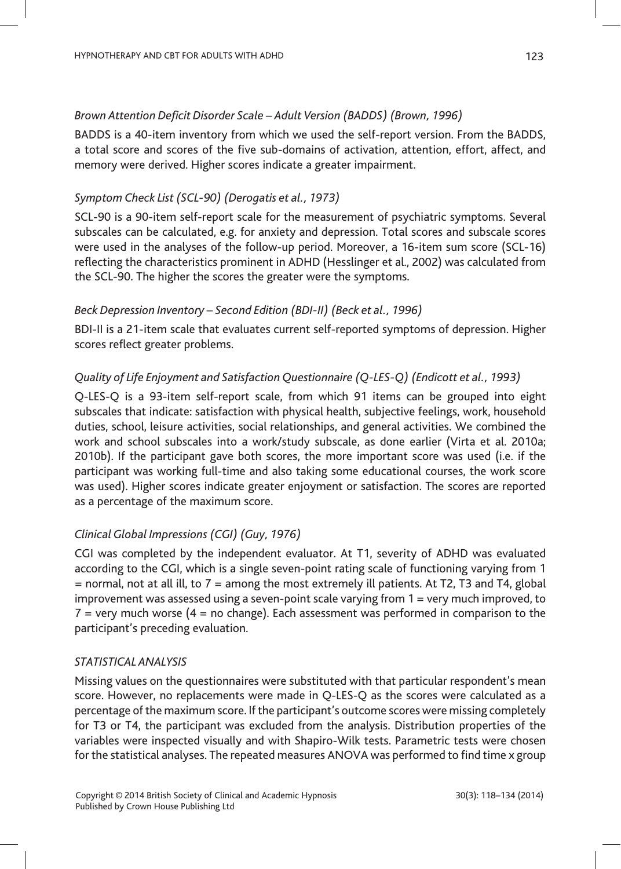## *Brown Attention Deficit Disorder Scale – Adult Version (BADDS) (Brown, 1996)*

BADDS is a 40-item inventory from which we used the self-report version. From the BADDS, a total score and scores of the five sub-domains of activation, attention, effort, affect, and memory were derived. Higher scores indicate a greater impairment.

## *Symptom Check List (SCL-90) (Derogatis et al., 1973)*

SCL-90 is a 90-item self-report scale for the measurement of psychiatric symptoms. Several subscales can be calculated, e.g. for anxiety and depression. Total scores and subscale scores were used in the analyses of the follow-up period. Moreover, a 16-item sum score (SCL-16) reflecting the characteristics prominent in ADHD (Hesslinger et al., 2002) was calculated from the SCL-90. The higher the scores the greater were the symptoms.

## *Beck Depression Inventory – Second Edition (BDI-II) (Beck et al., 1996)*

BDI-II is a 21-item scale that evaluates current self-reported symptoms of depression. Higher scores reflect greater problems.

## *Quality of Life Enjoyment and Satisfaction Questionnaire (Q-LES-Q) (Endicott et al., 1993)*

Q-LES-Q is a 93-item self-report scale, from which 91 items can be grouped into eight subscales that indicate: satisfaction with physical health, subjective feelings, work, household duties, school, leisure activities, social relationships, and general activities. We combined the work and school subscales into a work/study subscale, as done earlier (Virta et al. 2010a; 2010b). If the participant gave both scores, the more important score was used (i.e. if the participant was working full-time and also taking some educational courses, the work score was used). Higher scores indicate greater enjoyment or satisfaction. The scores are reported as a percentage of the maximum score.

### *Clinical Global Impressions (CGI) (Guy, 1976)*

CGI was completed by the independent evaluator. At T1, severity of ADHD was evaluated according to the CGI, which is a single seven-point rating scale of functioning varying from 1  $=$  normal, not at all ill, to  $7 =$  among the most extremely ill patients. At T2, T3 and T4, global improvement was assessed using a seven-point scale varying from 1 = very much improved, to  $7$  = very much worse ( $4$  = no change). Each assessment was performed in comparison to the participant's preceding evaluation.

#### *STATISTICAL ANALYSIS*

Missing values on the questionnaires were substituted with that particular respondent's mean score. However, no replacements were made in Q-LES-Q as the scores were calculated as a percentage of the maximum score. If the participant's outcome scores were missing completely for T3 or T4, the participant was excluded from the analysis. Distribution properties of the variables were inspected visually and with Shapiro-Wilk tests. Parametric tests were chosen for the statistical analyses. The repeated measures ANOVA was performed to find time x group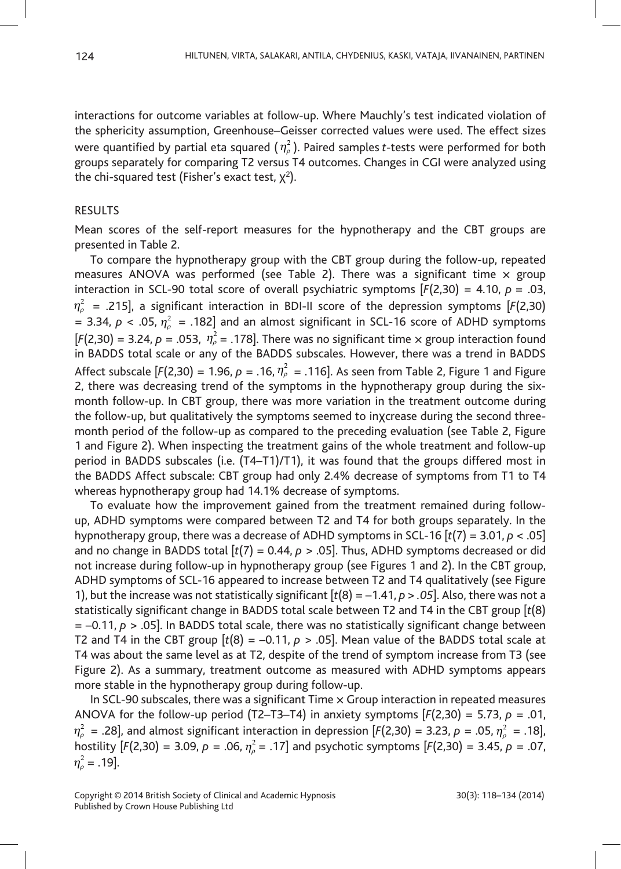interactions for outcome variables at follow-up. Where Mauchly's test indicated violation of the sphericity assumption, Greenhouse–Geisser corrected values were used. The effect sizes were quantified by partial eta squared ( $\eta_\rho^2$ ). Paired samples *t*-tests were performed for both groups separately for comparing T2 versus T4 outcomes. Changes in CGI were analyzed using the chi-squared test (Fisher's exact test,  $\chi^2$ ).

## RESULTS

Mean scores of the self-report measures for the hypnotherapy and the CBT groups are presented in Table 2.

To compare the hypnotherapy group with the CBT group during the follow-up, repeated measures ANOVA was performed (see Table 2). There was a significant time  $\times$  group interaction in SCL-90 total score of overall psychiatric symptoms [*F*(2,30) = 4.10, *p* = .03, *η<sup>ρ</sup>* 2 = .215], a significant interaction in BDI-II score of the depression symptoms [*F*(2,30) = 3.34,  $p < .05$ ,  $\eta_p^2 = .182$ ] and an almost significant in SCL-16 score of ADHD symptoms  $[F(2,30) = 3.24, p = .053, \eta<sub>p</sub><sup>2</sup> = .178]$ . There was no significant time  $\times$  group interaction found in BADDS total scale or any of the BADDS subscales. However, there was a trend in BADDS Affect subscale [ $F(2,30) = 1.96$ ,  $\rho = .16$ ,  $\eta_{\rho}^2 = .116$ ]. As seen from Table 2, Figure 1 and Figure 2, there was decreasing trend of the symptoms in the hypnotherapy group during the sixmonth follow-up. In CBT group, there was more variation in the treatment outcome during the follow-up, but qualitatively the symptoms seemed to inχcrease during the second threemonth period of the follow-up as compared to the preceding evaluation (see Table 2, Figure 1 and Figure 2). When inspecting the treatment gains of the whole treatment and follow-up period in BADDS subscales (i.e. (T4–T1)/T1), it was found that the groups differed most in the BADDS Affect subscale: CBT group had only 2.4% decrease of symptoms from T1 to T4 whereas hypnotherapy group had 14.1% decrease of symptoms.

To evaluate how the improvement gained from the treatment remained during followup, ADHD symptoms were compared between T2 and T4 for both groups separately. In the hypnotherapy group, there was a decrease of ADHD symptoms in SCL-16 [*t*(7) = 3.01, *p* < .05] and no change in BADDS total  $[t(7) = 0.44, p > .05]$ . Thus, ADHD symptoms decreased or did not increase during follow-up in hypnotherapy group (see Figures 1 and 2). In the CBT group, ADHD symptoms of SCL-16 appeared to increase between T2 and T4 qualitatively (see Figure 1), but the increase was not statistically significant [*t*(8) = –1.41, *p > .05*]. Also, there was not a statistically significant change in BADDS total scale between T2 and T4 in the CBT group [*t*(8)  $= -0.11$ ,  $p > .05$ ]. In BADDS total scale, there was no statistically significant change between T2 and T4 in the CBT group  $[t(8) = -0.11, p > .05]$ . Mean value of the BADDS total scale at T4 was about the same level as at T2, despite of the trend of symptom increase from T3 (see Figure 2). As a summary, treatment outcome as measured with ADHD symptoms appears more stable in the hypnotherapy group during follow-up.

In SCL-90 subscales, there was a significant Time  $\times$  Group interaction in repeated measures ANOVA for the follow-up period (T2–T3–T4) in anxiety symptoms  $[F(2,30) = 5.73, p = .01,$ *η*<sub>*ρ*</sub> = .28], and almost significant interaction in depression [*F*(2,30) = 3.23, *p* = .05, *η*<sub>*ρ*</sub> = .18], hostility [*F*(2,30) = 3.09, *p* = .06, *<sup>η</sup><sup>ρ</sup>* <sup>2</sup> = .17] and psychotic symptoms [*F*(2,30) = 3.45, *p* = .07,  $\eta_{\rho}^2 = .19$ ].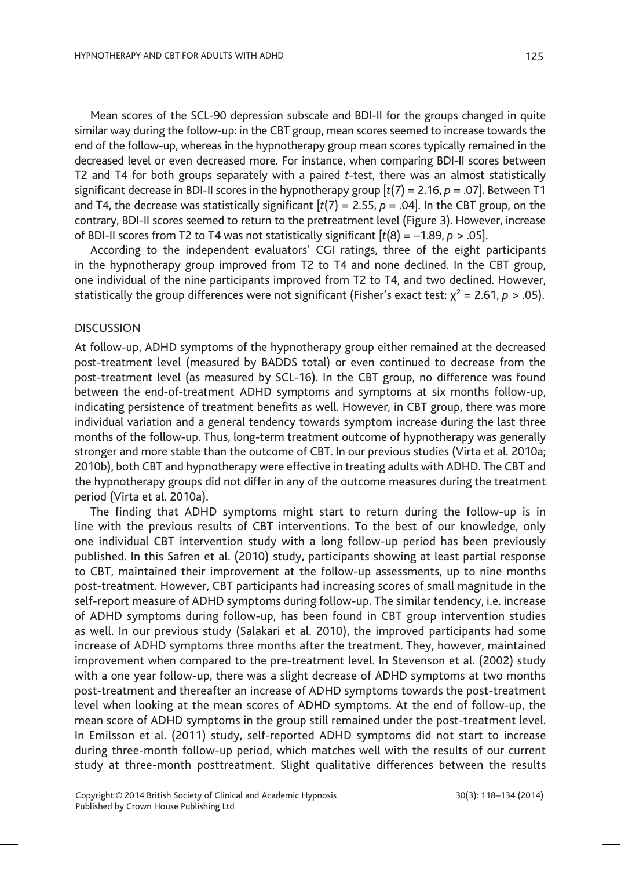Mean scores of the SCL-90 depression subscale and BDI-II for the groups changed in quite similar way during the follow-up: in the CBT group, mean scores seemed to increase towards the end of the follow-up, whereas in the hypnotherapy group mean scores typically remained in the decreased level or even decreased more. For instance, when comparing BDI-II scores between T2 and T4 for both groups separately with a paired *t*-test, there was an almost statistically significant decrease in BDI-II scores in the hypnotherapy group [*t*(7) = 2.16, *p* = .07]. Between T1 and T4, the decrease was statistically significant  $[t(7) = 2.55, p = .04]$ . In the CBT group, on the contrary, BDI-II scores seemed to return to the pretreatment level (Figure 3). However, increase of BDI-II scores from T2 to T4 was not statistically significant [*t*(8) = –1.89, *p* > .05].

According to the independent evaluators' CGI ratings, three of the eight participants in the hypnotherapy group improved from T2 to T4 and none declined. In the CBT group, one individual of the nine participants improved from T2 to T4, and two declined. However, statistically the group differences were not significant (Fisher's exact test:  $\chi^2$  = 2.61,  $\rho$  > .05).

## DISCUSSION

At follow-up, ADHD symptoms of the hypnotherapy group either remained at the decreased post-treatment level (measured by BADDS total) or even continued to decrease from the post-treatment level (as measured by SCL-16). In the CBT group, no difference was found between the end-of-treatment ADHD symptoms and symptoms at six months follow-up, indicating persistence of treatment benefits as well. However, in CBT group, there was more individual variation and a general tendency towards symptom increase during the last three months of the follow-up. Thus, long-term treatment outcome of hypnotherapy was generally stronger and more stable than the outcome of CBT. In our previous studies (Virta et al. 2010a; 2010b), both CBT and hypnotherapy were effective in treating adults with ADHD. The CBT and the hypnotherapy groups did not differ in any of the outcome measures during the treatment period (Virta et al. 2010a).

The finding that ADHD symptoms might start to return during the follow-up is in line with the previous results of CBT interventions. To the best of our knowledge, only one individual CBT intervention study with a long follow-up period has been previously published. In this Safren et al. (2010) study, participants showing at least partial response to CBT, maintained their improvement at the follow-up assessments, up to nine months post-treatment. However, CBT participants had increasing scores of small magnitude in the self-report measure of ADHD symptoms during follow-up. The similar tendency, i.e. increase of ADHD symptoms during follow-up, has been found in CBT group intervention studies as well. In our previous study (Salakari et al. 2010), the improved participants had some increase of ADHD symptoms three months after the treatment. They, however, maintained improvement when compared to the pre-treatment level. In Stevenson et al. (2002) study with a one year follow-up, there was a slight decrease of ADHD symptoms at two months post-treatment and thereafter an increase of ADHD symptoms towards the post-treatment level when looking at the mean scores of ADHD symptoms. At the end of follow-up, the mean score of ADHD symptoms in the group still remained under the post-treatment level. In Emilsson et al. (2011) study, self-reported ADHD symptoms did not start to increase during three-month follow-up period, which matches well with the results of our current study at three-month posttreatment. Slight qualitative differences between the results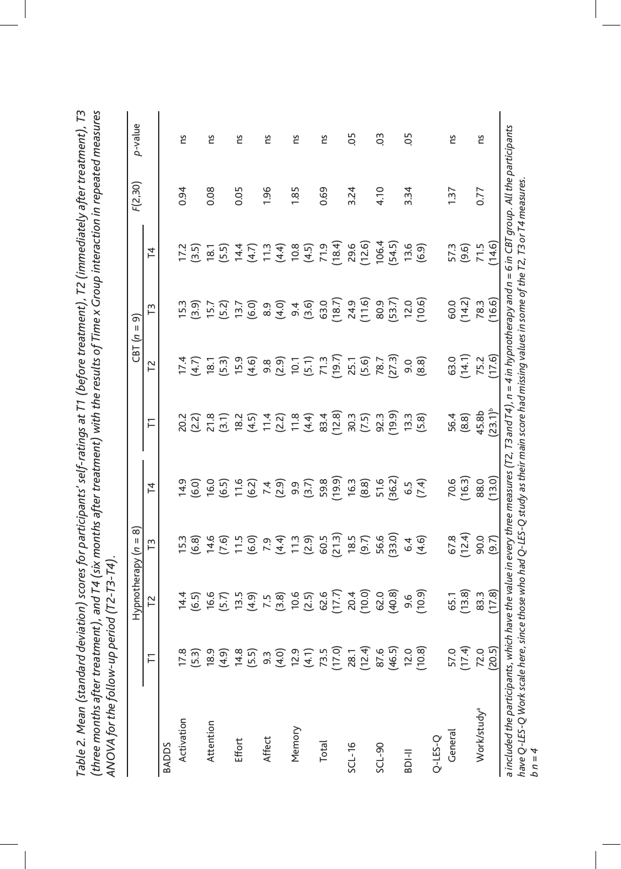|                         |                  | Hypnotherapy   | ၜ<br>$=$ $\alpha$                                                                                                                                                           |                                                         |                                                                                                                                                                                                                                  | CBT(n)                                                     | ണ<br>$\mathsf{I}\mathsf{I}$                                          |                          | F(2,30) | p-value        |
|-------------------------|------------------|----------------|-----------------------------------------------------------------------------------------------------------------------------------------------------------------------------|---------------------------------------------------------|----------------------------------------------------------------------------------------------------------------------------------------------------------------------------------------------------------------------------------|------------------------------------------------------------|----------------------------------------------------------------------|--------------------------|---------|----------------|
|                         | Ε                | 72             | IJ                                                                                                                                                                          | 4                                                       | 戸                                                                                                                                                                                                                                | 72                                                         | Γ3                                                                   | $\overline{4}$           |         |                |
| BADDS                   |                  |                |                                                                                                                                                                             |                                                         |                                                                                                                                                                                                                                  |                                                            |                                                                      |                          |         |                |
| Activation              | 17.8             |                |                                                                                                                                                                             |                                                         |                                                                                                                                                                                                                                  |                                                            |                                                                      |                          | 0.94    | ns             |
|                         | (5.3)            |                | $15.3$ (6.6)<br>$6.6$ (6.6)<br>$7.5$ (6.7)<br>$7.5$ (7.6)<br>$7.5$ (7.6)<br>$7.5$<br>$7.5$<br>$7.5$<br>$7.5$<br>$7.5$<br>$7.5$<br>$7.5$<br>$7.5$<br>$7.5$<br>$7.5$<br>$7.5$ | 1<br>1 6 6 7 6 7 4 9 9 7 8 9 9<br>1 9 9 7 9 7 9 7 9 9 9 | 22 22 32 32 32 32 32 33 33 34 35 36 36 37 38 37 38 37 38 37 38 39 30 31 32 39 30 31 32 33 34 35 36 37 38 39 30<br>23 32 33 33 34 35 36 37 38 39 30 31 32 33 34 35 36 37 38 39 39 30 31 32 33 39 39 30 31 32 33 39 39 30 30 31 33 | 1747<br>18.7<br>18.7<br>19.9                               | 15.6)<br>15.6)<br>15.7)<br>15.6)<br>16.9)<br>16.9)<br>16.9)<br>16.9) |                          |         |                |
| Attention               | 18.9             |                |                                                                                                                                                                             |                                                         |                                                                                                                                                                                                                                  |                                                            |                                                                      |                          | 0.08    | Σu             |
|                         | (4.9)            |                |                                                                                                                                                                             |                                                         |                                                                                                                                                                                                                                  |                                                            |                                                                      |                          |         |                |
| Effort                  | 14.8             |                |                                                                                                                                                                             |                                                         |                                                                                                                                                                                                                                  |                                                            |                                                                      |                          | 0.05    | č              |
|                         | (5.5)            |                |                                                                                                                                                                             |                                                         |                                                                                                                                                                                                                                  |                                                            |                                                                      |                          |         |                |
| Affect                  | $9.\overline{3}$ |                |                                                                                                                                                                             |                                                         |                                                                                                                                                                                                                                  |                                                            |                                                                      |                          | 1.96    | Ξ              |
|                         | (4.0)            |                |                                                                                                                                                                             |                                                         |                                                                                                                                                                                                                                  |                                                            |                                                                      |                          |         |                |
| Memory                  | 12.9             |                |                                                                                                                                                                             |                                                         |                                                                                                                                                                                                                                  |                                                            |                                                                      |                          | 1.85    | ns             |
|                         | (4.1)            |                |                                                                                                                                                                             |                                                         |                                                                                                                                                                                                                                  | 9.8<br>0.9 (1.7 m)<br>0.5 m)<br>0.5 m)<br>0.5 m)<br>0.5 m) |                                                                      |                          |         |                |
| Total                   | 73.5             |                |                                                                                                                                                                             |                                                         |                                                                                                                                                                                                                                  |                                                            |                                                                      |                          | 0.69    | č              |
|                         | (17.0)           |                |                                                                                                                                                                             |                                                         |                                                                                                                                                                                                                                  |                                                            | 63.0<br>(18.7)                                                       |                          |         |                |
| $SCL-16$                | 28.1             |                | <b>18.5</b>                                                                                                                                                                 | 16.3                                                    |                                                                                                                                                                                                                                  |                                                            |                                                                      | 29.6<br>(12.6)           | 3.24    | 5O             |
|                         | (12.4)           | 20.4<br>(10.0) | (9.7)                                                                                                                                                                       | (8.8)                                                   | $30.3$<br>$(7.5)$                                                                                                                                                                                                                |                                                            | 24.9<br>(11.6)                                                       |                          |         |                |
| SCL-90                  | 87.6             | 62.0<br>(40.8) |                                                                                                                                                                             |                                                         | 92.3                                                                                                                                                                                                                             | $78.7$<br>(27.3)                                           | 80.9                                                                 | 106.4                    | 4.10    | $\overline{0}$ |
|                         | (46.5)           |                | 56.6<br>(33.0)                                                                                                                                                              | 51.6<br>(36.2)                                          | (19.9)                                                                                                                                                                                                                           |                                                            | (53.7)                                                               | 54.5)                    |         |                |
| $BDI-II$                | 12.0             | 9.6            | 6.4                                                                                                                                                                         |                                                         | $13.3$<br>$(5.8)$                                                                                                                                                                                                                |                                                            | (10.6)                                                               | 13.6                     | 3.34    | 5O             |
|                         | (10.8)           | (10.9)         | (4.6)                                                                                                                                                                       | $6.5$<br>(7.4)                                          |                                                                                                                                                                                                                                  | $9.80$<br>$(8.8)$                                          |                                                                      | (6.9)                    |         |                |
| $Q$ -LES-Q              |                  |                |                                                                                                                                                                             |                                                         |                                                                                                                                                                                                                                  |                                                            |                                                                      |                          |         |                |
| General                 | 57.0             |                |                                                                                                                                                                             |                                                         | 56.4                                                                                                                                                                                                                             | 63.0                                                       | 60.0                                                                 | 57.3                     | 1.37    | Σu             |
|                         | (17.4)           | 65.1<br>(13.8) | 67.8<br>(12.4)                                                                                                                                                              | 70.6<br>(16.3)                                          | $(8.8)$<br>45.8b<br>(23.1) <sup>b</sup>                                                                                                                                                                                          | (14.1)                                                     | (14.2)                                                               | $(9.6)$<br>71.5<br>71.6) |         |                |
| Work/study <sup>a</sup> | 72.0             | 83.3<br>(17.8) | 90.0<br>(9.7)                                                                                                                                                               | 88.0                                                    |                                                                                                                                                                                                                                  | 75.2<br>(17.6)                                             | 78.3<br>(16.6)                                                       |                          | 0.77    | Σu             |
|                         | (20.5)           |                |                                                                                                                                                                             |                                                         |                                                                                                                                                                                                                                  |                                                            |                                                                      |                          |         |                |

| $\tilde{L}$                                                                                                 | ent), and T4 (six months after treatment) with the results of Time x Group interaction in repeated measures |                                           |
|-------------------------------------------------------------------------------------------------------------|-------------------------------------------------------------------------------------------------------------|-------------------------------------------|
|                                                                                                             |                                                                                                             |                                           |
|                                                                                                             |                                                                                                             |                                           |
|                                                                                                             |                                                                                                             |                                           |
|                                                                                                             |                                                                                                             |                                           |
|                                                                                                             |                                                                                                             |                                           |
|                                                                                                             |                                                                                                             |                                           |
|                                                                                                             |                                                                                                             |                                           |
|                                                                                                             |                                                                                                             |                                           |
|                                                                                                             |                                                                                                             |                                           |
|                                                                                                             |                                                                                                             |                                           |
|                                                                                                             |                                                                                                             |                                           |
|                                                                                                             |                                                                                                             |                                           |
|                                                                                                             |                                                                                                             |                                           |
|                                                                                                             |                                                                                                             |                                           |
| eviation) scores for participants' self-ratings at T1 (before treatment), T2 (immediately after treatment). |                                                                                                             |                                           |
|                                                                                                             |                                                                                                             |                                           |
|                                                                                                             |                                                                                                             |                                           |
|                                                                                                             |                                                                                                             |                                           |
|                                                                                                             |                                                                                                             |                                           |
|                                                                                                             |                                                                                                             |                                           |
|                                                                                                             |                                                                                                             |                                           |
|                                                                                                             |                                                                                                             |                                           |
|                                                                                                             |                                                                                                             |                                           |
|                                                                                                             |                                                                                                             | ・トー トー                                    |
|                                                                                                             |                                                                                                             |                                           |
|                                                                                                             |                                                                                                             |                                           |
|                                                                                                             |                                                                                                             |                                           |
|                                                                                                             |                                                                                                             |                                           |
| able 2. Mean (standard dev                                                                                  | three months after treatme                                                                                  | NOVA for the follow-up period (T2-T3-T4). |
|                                                                                                             |                                                                                                             |                                           |
|                                                                                                             |                                                                                                             |                                           |
|                                                                                                             |                                                                                                             |                                           |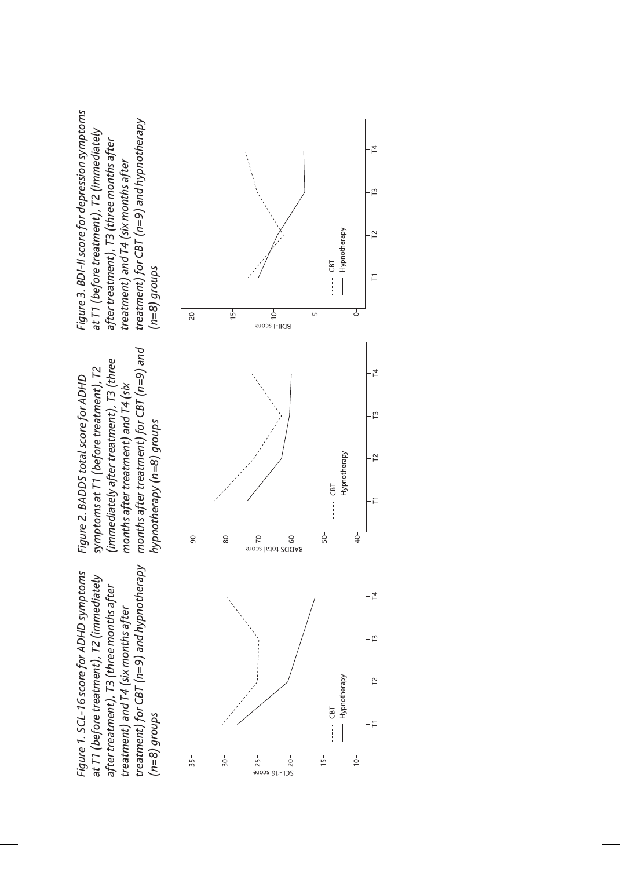treatment) for CBT (n=9) and hypnotherapy *treatment) for CBT (n=9) and hypnotherapy*  Figure 1. SCL-16 score for ADHD symptoms *Figure 1. SCL-16 score for ADHD symptoms*  at T1 (before treatment), T2 (immediately *at T1 (before treatment), T2 (immediately*  after treatment), T3 (three months after *after treatment), T3 (three months after*  treatment) and T4 (six months after *treatment) and T4 (six months after*   $(n=8)$  groups *(n=8) groups*

months after treatment) for CBT (n=9) and *months after treatment) for CBT (n=9) and*  (immediately after treatment), T3 (three *(immediately after treatment), T3 (three symptoms at T1 (before treatment), T2*  symptoms at T1 (before treatment), T2 Figure 2. BADDS total score for ADHD *Figure 2. BADDS total score for ADHD*  months after treatment) and T4 (six *months after treatment) and T4 (six*  hypnotherapy (n=8) groups *hypnotherapy (n=8) groups*

Figure 3. BDI-II score for depression symptoms *Figure 3. BDI-II score for depression symptoms*  treatment) for CBT (n=9) and hypnotherapy *treatment) for CBT (n=9) and hypnotherapy*  at T1 (before treatment), T2 (immediately *at T1 (before treatment), T2 (immediately after treatment), T3 (three months after*  after treatment), T3 (three months after treatment) and T4 (six months after *treatment) and T4 (six months after*   $(n=8)$  groups *(n=8) groups*

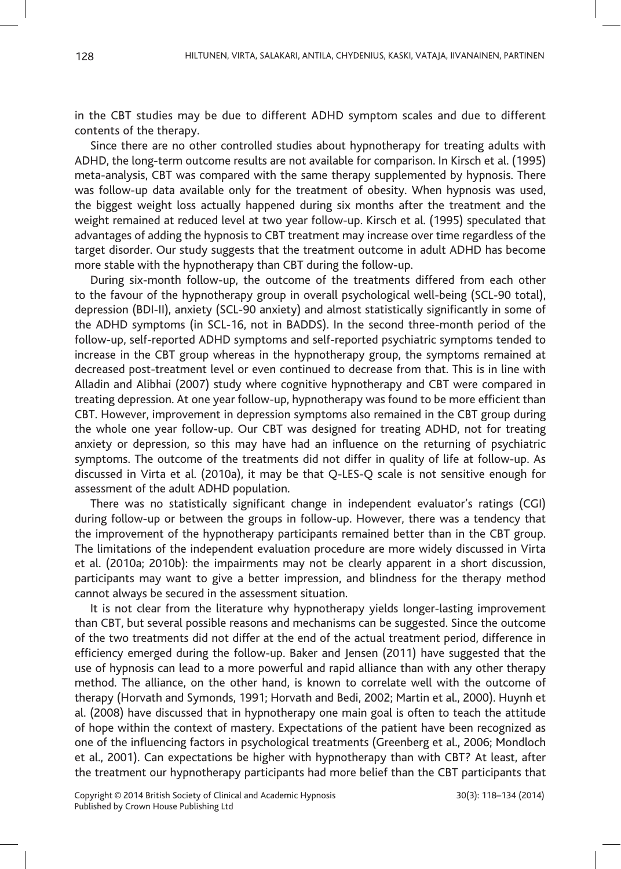in the CBT studies may be due to different ADHD symptom scales and due to different contents of the therapy.

Since there are no other controlled studies about hypnotherapy for treating adults with ADHD, the long-term outcome results are not available for comparison. In Kirsch et al. (1995) meta-analysis, CBT was compared with the same therapy supplemented by hypnosis. There was follow-up data available only for the treatment of obesity. When hypnosis was used, the biggest weight loss actually happened during six months after the treatment and the weight remained at reduced level at two year follow-up. Kirsch et al. (1995) speculated that advantages of adding the hypnosis to CBT treatment may increase over time regardless of the target disorder. Our study suggests that the treatment outcome in adult ADHD has become more stable with the hypnotherapy than CBT during the follow-up.

During six-month follow-up, the outcome of the treatments differed from each other to the favour of the hypnotherapy group in overall psychological well-being (SCL-90 total), depression (BDI-II), anxiety (SCL-90 anxiety) and almost statistically significantly in some of the ADHD symptoms (in SCL-16, not in BADDS). In the second three-month period of the follow-up, self-reported ADHD symptoms and self-reported psychiatric symptoms tended to increase in the CBT group whereas in the hypnotherapy group, the symptoms remained at decreased post-treatment level or even continued to decrease from that. This is in line with Alladin and Alibhai (2007) study where cognitive hypnotherapy and CBT were compared in treating depression. At one year follow-up, hypnotherapy was found to be more efficient than CBT. However, improvement in depression symptoms also remained in the CBT group during the whole one year follow-up. Our CBT was designed for treating ADHD, not for treating anxiety or depression, so this may have had an influence on the returning of psychiatric symptoms. The outcome of the treatments did not differ in quality of life at follow-up. As discussed in Virta et al. (2010a), it may be that Q-LES-Q scale is not sensitive enough for assessment of the adult ADHD population.

There was no statistically significant change in independent evaluator's ratings (CGI) during follow-up or between the groups in follow-up. However, there was a tendency that the improvement of the hypnotherapy participants remained better than in the CBT group. The limitations of the independent evaluation procedure are more widely discussed in Virta et al. (2010a; 2010b): the impairments may not be clearly apparent in a short discussion, participants may want to give a better impression, and blindness for the therapy method cannot always be secured in the assessment situation.

It is not clear from the literature why hypnotherapy yields longer-lasting improvement than CBT, but several possible reasons and mechanisms can be suggested. Since the outcome of the two treatments did not differ at the end of the actual treatment period, difference in efficiency emerged during the follow-up. Baker and Jensen (2011) have suggested that the use of hypnosis can lead to a more powerful and rapid alliance than with any other therapy method. The alliance, on the other hand, is known to correlate well with the outcome of therapy (Horvath and Symonds, 1991; Horvath and Bedi, 2002; Martin et al., 2000). Huynh et al. (2008) have discussed that in hypnotherapy one main goal is often to teach the attitude of hope within the context of mastery. Expectations of the patient have been recognized as one of the influencing factors in psychological treatments (Greenberg et al., 2006; Mondloch et al., 2001). Can expectations be higher with hypnotherapy than with CBT? At least, after the treatment our hypnotherapy participants had more belief than the CBT participants that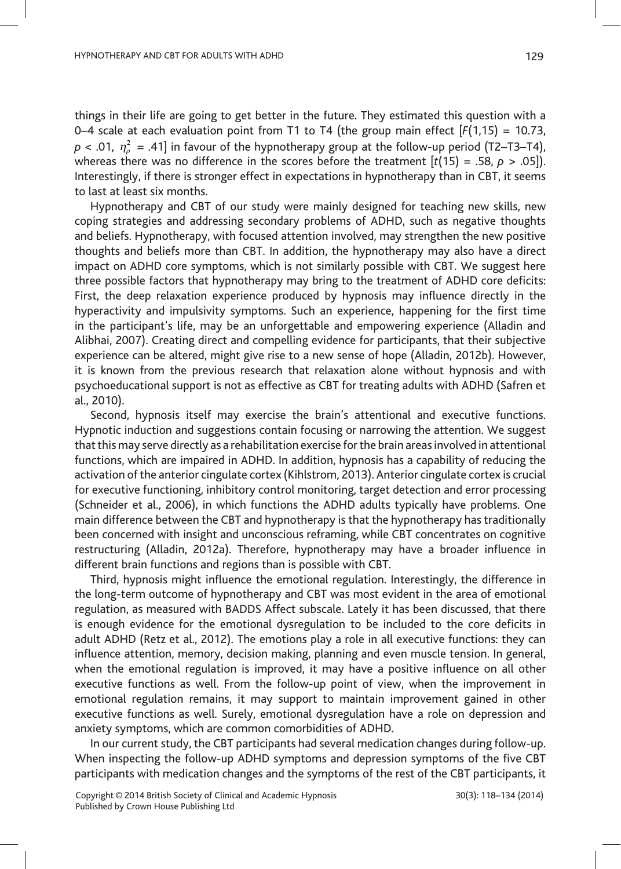things in their life are going to get better in the future. They estimated this question with a 0–4 scale at each evaluation point from T1 to T4 (the group main effect  $[F(1,15) = 10.73,$ *p* < .01, *<sup>η</sup><sup>ρ</sup>* <sup>2</sup> = .41] in favour of the hypnotherapy group at the follow-up period (T2–T3–T4), whereas there was no difference in the scores before the treatment  $[t(15) = .58, p > .05]$ . Interestingly, if there is stronger effect in expectations in hypnotherapy than in CBT, it seems to last at least six months.

Hypnotherapy and CBT of our study were mainly designed for teaching new skills, new coping strategies and addressing secondary problems of ADHD, such as negative thoughts and beliefs. Hypnotherapy, with focused attention involved, may strengthen the new positive thoughts and beliefs more than CBT. In addition, the hypnotherapy may also have a direct impact on ADHD core symptoms, which is not similarly possible with CBT. We suggest here three possible factors that hypnotherapy may bring to the treatment of ADHD core deficits: First, the deep relaxation experience produced by hypnosis may influence directly in the hyperactivity and impulsivity symptoms. Such an experience, happening for the first time in the participant's life, may be an unforgettable and empowering experience (Alladin and Alibhai, 2007). Creating direct and compelling evidence for participants, that their subjective experience can be altered, might give rise to a new sense of hope (Alladin, 2012b). However, it is known from the previous research that relaxation alone without hypnosis and with psychoeducational support is not as effective as CBT for treating adults with ADHD (Safren et al., 2010).

Second, hypnosis itself may exercise the brain's attentional and executive functions. Hypnotic induction and suggestions contain focusing or narrowing the attention. We suggest that this may serve directly as a rehabilitation exercise for the brain areas involved in attentional functions, which are impaired in ADHD. In addition, hypnosis has a capability of reducing the activation of the anterior cingulate cortex (Kihlstrom, 2013). Anterior cingulate cortex is crucial for executive functioning, inhibitory control monitoring, target detection and error processing (Schneider et al., 2006), in which functions the ADHD adults typically have problems. One main difference between the CBT and hypnotherapy is that the hypnotherapy has traditionally been concerned with insight and unconscious reframing, while CBT concentrates on cognitive restructuring (Alladin, 2012a). Therefore, hypnotherapy may have a broader influence in different brain functions and regions than is possible with CBT.

Third, hypnosis might influence the emotional regulation. Interestingly, the difference in the long-term outcome of hypnotherapy and CBT was most evident in the area of emotional regulation, as measured with BADDS Affect subscale. Lately it has been discussed, that there is enough evidence for the emotional dysregulation to be included to the core deficits in adult ADHD (Retz et al., 2012). The emotions play a role in all executive functions: they can influence attention, memory, decision making, planning and even muscle tension. In general, when the emotional regulation is improved, it may have a positive influence on all other executive functions as well. From the follow-up point of view, when the improvement in emotional regulation remains, it may support to maintain improvement gained in other executive functions as well. Surely, emotional dysregulation have a role on depression and anxiety symptoms, which are common comorbidities of ADHD.

In our current study, the CBT participants had several medication changes during follow-up. When inspecting the follow-up ADHD symptoms and depression symptoms of the five CBT participants with medication changes and the symptoms of the rest of the CBT participants, it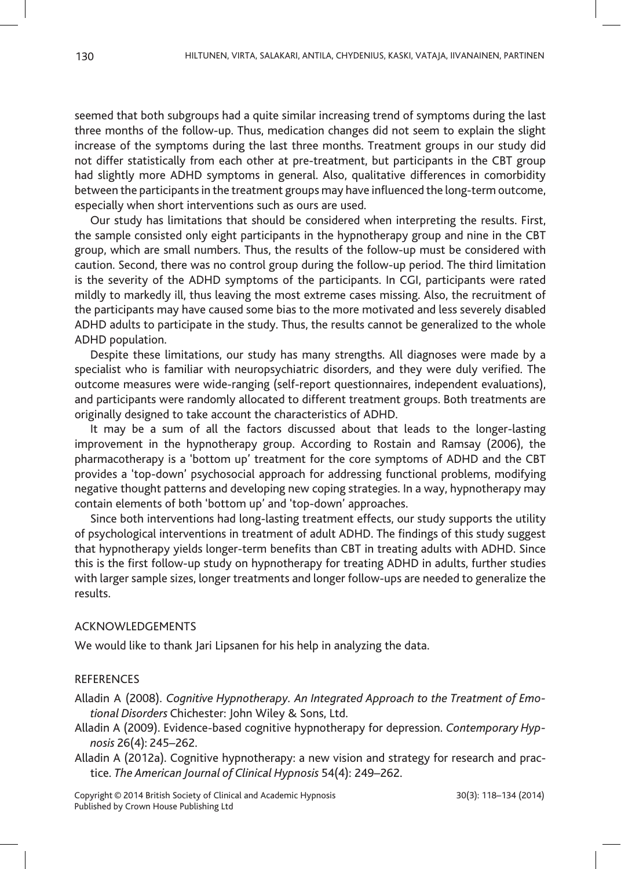seemed that both subgroups had a quite similar increasing trend of symptoms during the last three months of the follow-up. Thus, medication changes did not seem to explain the slight increase of the symptoms during the last three months. Treatment groups in our study did not differ statistically from each other at pre-treatment, but participants in the CBT group had slightly more ADHD symptoms in general. Also, qualitative differences in comorbidity between the participants in the treatment groups may have influenced the long-term outcome, especially when short interventions such as ours are used.

Our study has limitations that should be considered when interpreting the results. First, the sample consisted only eight participants in the hypnotherapy group and nine in the CBT group, which are small numbers. Thus, the results of the follow-up must be considered with caution. Second, there was no control group during the follow-up period. The third limitation is the severity of the ADHD symptoms of the participants. In CGI, participants were rated mildly to markedly ill, thus leaving the most extreme cases missing. Also, the recruitment of the participants may have caused some bias to the more motivated and less severely disabled ADHD adults to participate in the study. Thus, the results cannot be generalized to the whole ADHD population.

Despite these limitations, our study has many strengths. All diagnoses were made by a specialist who is familiar with neuropsychiatric disorders, and they were duly verified. The outcome measures were wide-ranging (self-report questionnaires, independent evaluations), and participants were randomly allocated to different treatment groups. Both treatments are originally designed to take account the characteristics of ADHD.

It may be a sum of all the factors discussed about that leads to the longer-lasting improvement in the hypnotherapy group. According to Rostain and Ramsay (2006), the pharmacotherapy is a 'bottom up' treatment for the core symptoms of ADHD and the CBT provides a 'top-down' psychosocial approach for addressing functional problems, modifying negative thought patterns and developing new coping strategies. In a way, hypnotherapy may contain elements of both 'bottom up' and 'top-down' approaches.

Since both interventions had long-lasting treatment effects, our study supports the utility of psychological interventions in treatment of adult ADHD. The findings of this study suggest that hypnotherapy yields longer-term benefits than CBT in treating adults with ADHD. Since this is the first follow-up study on hypnotherapy for treating ADHD in adults, further studies with larger sample sizes, longer treatments and longer follow-ups are needed to generalize the results.

## ACKNOWLEDGEMENTS

We would like to thank Jari Lipsanen for his help in analyzing the data.

## **REFERENCES**

Alladin A (2008). *Cognitive Hypnotherapy. An Integrated Approach to the Treatment of Emotional Disorders* Chichester: John Wiley & Sons, Ltd.

- Alladin A (2009). Evidence-based cognitive hypnotherapy for depression. *Contemporary Hypnosis* 26(4): 245–262.
- Alladin A (2012a). Cognitive hypnotherapy: a new vision and strategy for research and practice. *The American Journal of Clinical Hypnosis* 54(4): 249–262.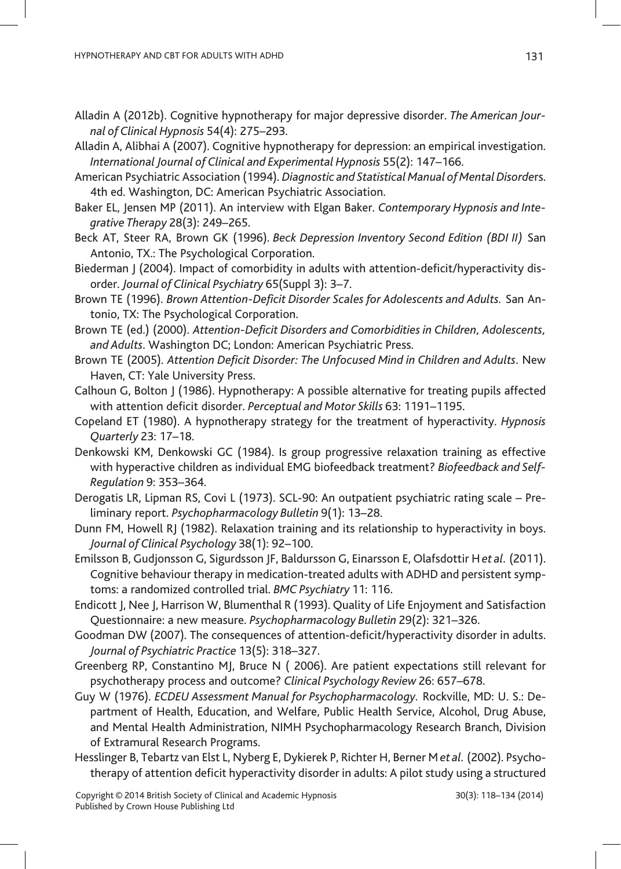- Alladin A (2012b). Cognitive hypnotherapy for major depressive disorder. *The American Journal of Clinical Hypnosis* 54(4): 275–293.
- Alladin A, Alibhai A (2007). Cognitive hypnotherapy for depression: an empirical investigation. *International Journal of Clinical and Experimental Hypnosis* 55(2): 147–166.
- American Psychiatric Association (1994). *Diagnostic and Statistical Manual of Mental Disorde*rs. 4th ed. Washington, DC: American Psychiatric Association.
- Baker EL, Jensen MP (2011). An interview with Elgan Baker. *Contemporary Hypnosis and Integrative Therapy* 28(3): 249–265.
- Beck AT, Steer RA, Brown GK (1996). *Beck Depression Inventory Second Edition (BDI II)* San Antonio, TX.: The Psychological Corporation.
- Biederman J (2004). Impact of comorbidity in adults with attention-deficit/hyperactivity disorder. *Journal of Clinical Psychiatry* 65(Suppl 3): 3–7.
- Brown TE (1996). *Brown Attention-Deficit Disorder Scales for Adolescents and Adults.* San Antonio, TX: The Psychological Corporation.
- Brown TE (ed.) (2000). *Attention-Deficit Disorders and Comorbidities in Children, Adolescents, and Adults*. Washington DC; London: American Psychiatric Press.
- Brown TE (2005). *Attention Deficit Disorder: The Unfocused Mind in Children and Adults*. New Haven, CT: Yale University Press.
- Calhoun G, Bolton J (1986). Hypnotherapy: A possible alternative for treating pupils affected with attention deficit disorder. *Perceptual and Motor Skills* 63: 1191–1195.
- Copeland ET (1980). A hypnotherapy strategy for the treatment of hyperactivity. *Hypnosis Quarterly* 23: 17–18.
- Denkowski KM, Denkowski GC (1984). Is group progressive relaxation training as effective with hyperactive children as individual EMG biofeedback treatment? *Biofeedback and Self-Regulation* 9: 353–364.
- Derogatis LR, Lipman RS, Covi L (1973). SCL-90: An outpatient psychiatric rating scale Preliminary report. *Psychopharmacology Bulletin* 9(1): 13–28.
- Dunn FM, Howell RJ (1982). Relaxation training and its relationship to hyperactivity in boys. *Journal of Clinical Psychology* 38(1): 92–100.
- Emilsson B, Gudjonsson G, Sigurdsson JF, Baldursson G, Einarsson E, Olafsdottir H *et al.* (2011). Cognitive behaviour therapy in medication-treated adults with ADHD and persistent symptoms: a randomized controlled trial. *BMC Psychiatry* 11: 116.
- Endicott J, Nee J, Harrison W, Blumenthal R (1993). Quality of Life Enjoyment and Satisfaction Questionnaire: a new measure. *Psychopharmacology Bulletin* 29(2): 321–326.
- Goodman DW (2007). The consequences of attention-deficit/hyperactivity disorder in adults. *Journal of Psychiatric Practice* 13(5): 318–327.
- Greenberg RP, Constantino MJ, Bruce N ( 2006). Are patient expectations still relevant for psychotherapy process and outcome? *Clinical Psychology Review* 26: 657–678.
- Guy W (1976). *ECDEU Assessment Manual for Psychopharmacology.* Rockville, MD: U. S.: Department of Health, Education, and Welfare, Public Health Service, Alcohol, Drug Abuse, and Mental Health Administration, NIMH Psychopharmacology Research Branch, Division of Extramural Research Programs.
- Hesslinger B, Tebartz van Elst L, Nyberg E, Dykierek P, Richter H, Berner M *et al.* (2002). Psychotherapy of attention deficit hyperactivity disorder in adults: A pilot study using a structured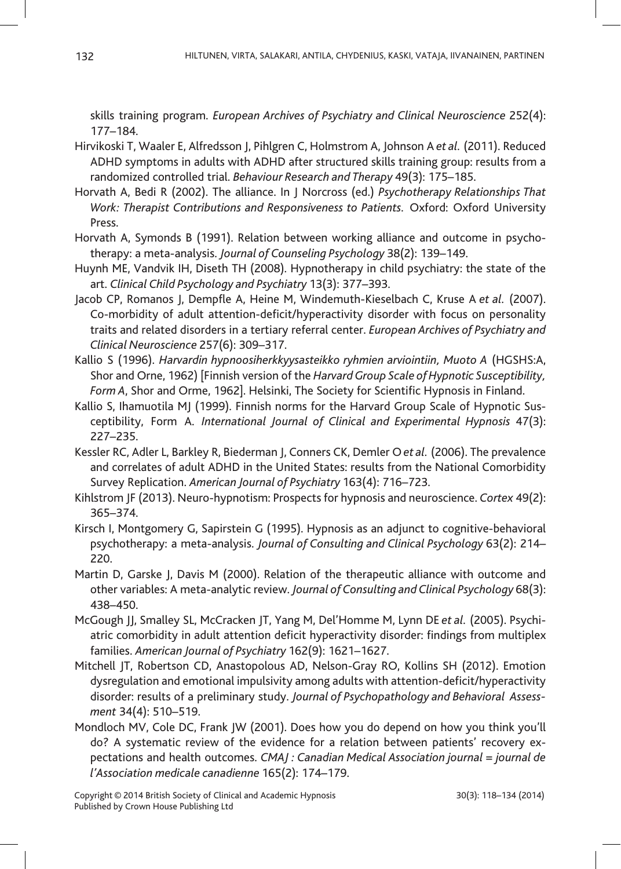skills training program. *European Archives of Psychiatry and Clinical Neuroscience* 252(4): 177–184.

- Hirvikoski T, Waaler E, Alfredsson J, Pihlgren C, Holmstrom A, Johnson A *et al.* (2011). Reduced ADHD symptoms in adults with ADHD after structured skills training group: results from a randomized controlled trial. *Behaviour Research and Therapy* 49(3): 175–185.
- Horvath A, Bedi R (2002). The alliance. In J Norcross (ed.) *Psychotherapy Relationships That Work: Therapist Contributions and Responsiveness to Patients.* Oxford: Oxford University Press.
- Horvath A, Symonds B (1991). Relation between working alliance and outcome in psychotherapy: a meta-analysis. *Journal of Counseling Psychology* 38(2): 139–149.
- Huynh ME, Vandvik IH, Diseth TH (2008). Hypnotherapy in child psychiatry: the state of the art. *Clinical Child Psychology and Psychiatry* 13(3): 377–393.
- Jacob CP, Romanos J, Dempfle A, Heine M, Windemuth-Kieselbach C, Kruse A *et al.* (2007). Co-morbidity of adult attention-deficit/hyperactivity disorder with focus on personality traits and related disorders in a tertiary referral center. *European Archives of Psychiatry and Clinical Neuroscience* 257(6): 309–317.
- Kallio S (1996). *Harvardin hypnoosiherkkyysasteikko ryhmien arviointiin, Muoto A* (HGSHS:A, Shor and Orne, 1962) [Finnish version of the *Harvard Group Scale of Hypnotic Susceptibility, Form A*, Shor and Orme, 1962]. Helsinki, The Society for Scientific Hypnosis in Finland.
- Kallio S, Ihamuotila MJ (1999). Finnish norms for the Harvard Group Scale of Hypnotic Susceptibility, Form A. *International Journal of Clinical and Experimental Hypnosis* 47(3): 227–235.
- Kessler RC, Adler L, Barkley R, Biederman J, Conners CK, Demler O *et al.* (2006). The prevalence and correlates of adult ADHD in the United States: results from the National Comorbidity Survey Replication. *American Journal of Psychiatry* 163(4): 716–723.
- Kihlstrom JF (2013). Neuro-hypnotism: Prospects for hypnosis and neuroscience. *Cortex* 49(2): 365–374.
- Kirsch I, Montgomery G, Sapirstein G (1995). Hypnosis as an adjunct to cognitive-behavioral psychotherapy: a meta-analysis. *Journal of Consulting and Clinical Psychology* 63(2): 214– 220.
- Martin D, Garske J, Davis M (2000). Relation of the therapeutic alliance with outcome and other variables: A meta-analytic review. *Journal of Consulting and Clinical Psychology* 68(3): 438–450.
- McGough JJ, Smalley SL, McCracken JT, Yang M, Del'Homme M, Lynn DE *et al.* (2005). Psychiatric comorbidity in adult attention deficit hyperactivity disorder: findings from multiplex families. *American Journal of Psychiatry* 162(9): 1621–1627.
- Mitchell JT, Robertson CD, Anastopolous AD, Nelson-Gray RO, Kollins SH (2012). Emotion dysregulation and emotional impulsivity among adults with attention-deficit/hyperactivity disorder: results of a preliminary study. *Journal of Psychopathology and Behavioral Assessment* 34(4): 510–519.
- Mondloch MV, Cole DC, Frank JW (2001). Does how you do depend on how you think you'll do? A systematic review of the evidence for a relation between patients' recovery expectations and health outcomes. *CMAJ : Canadian Medical Association journal = journal de l'Association medicale canadienne* 165(2): 174–179.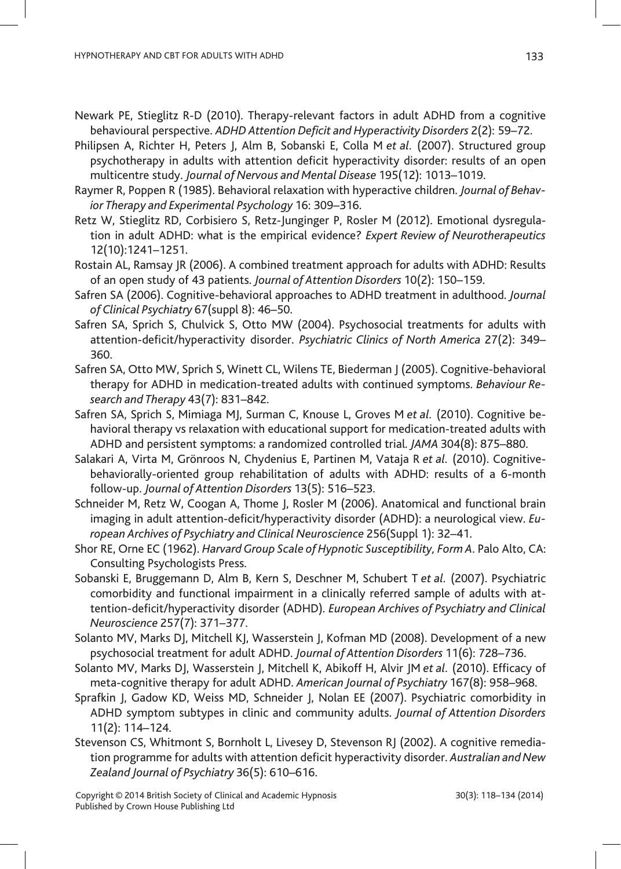- Newark PE, Stieglitz R-D (2010). Therapy-relevant factors in adult ADHD from a cognitive behavioural perspective. *ADHD Attention Deficit and Hyperactivity Disorders* 2(2): 59–72.
- Philipsen A, Richter H, Peters J, Alm B, Sobanski E, Colla M *et al.* (2007). Structured group psychotherapy in adults with attention deficit hyperactivity disorder: results of an open multicentre study. *Journal of Nervous and Mental Disease* 195(12): 1013–1019.
- Raymer R, Poppen R (1985). Behavioral relaxation with hyperactive children. *Journal of Behavior Therapy and Experimental Psychology* 16: 309–316.
- Retz W, Stieglitz RD, Corbisiero S, Retz-Junginger P, Rosler M (2012). Emotional dysregulation in adult ADHD: what is the empirical evidence? *Expert Review of Neurotherapeutics*  12(10):1241–1251.
- Rostain AL, Ramsay JR (2006). A combined treatment approach for adults with ADHD: Results of an open study of 43 patients. *Journal of Attention Disorders* 10(2): 150–159.
- Safren SA (2006). Cognitive-behavioral approaches to ADHD treatment in adulthood. *Journal of Clinical Psychiatry* 67(suppl 8): 46–50.
- Safren SA, Sprich S, Chulvick S, Otto MW (2004). Psychosocial treatments for adults with attention-deficit/hyperactivity disorder. *Psychiatric Clinics of North America* 27(2): 349– 360.
- Safren SA, Otto MW, Sprich S, Winett CL, Wilens TE, Biederman J (2005). Cognitive-behavioral therapy for ADHD in medication-treated adults with continued symptoms. *Behaviour Research and Therapy* 43(7): 831–842.
- Safren SA, Sprich S, Mimiaga MJ, Surman C, Knouse L, Groves M *et al.* (2010). Cognitive behavioral therapy vs relaxation with educational support for medication-treated adults with ADHD and persistent symptoms: a randomized controlled trial. *JAMA* 304(8): 875–880.
- Salakari A, Virta M, Grönroos N, Chydenius E, Partinen M, Vataja R *et al.* (2010). Cognitivebehaviorally-oriented group rehabilitation of adults with ADHD: results of a 6-month follow-up. *Journal of Attention Disorders* 13(5): 516–523.
- Schneider M, Retz W, Coogan A, Thome J, Rosler M (2006). Anatomical and functional brain imaging in adult attention-deficit/hyperactivity disorder (ADHD): a neurological view. *European Archives of Psychiatry and Clinical Neuroscience* 256(Suppl 1): 32–41.
- Shor RE, Orne EC (1962). *Harvard Group Scale of Hypnotic Susceptibility, Form A*. Palo Alto, CA: Consulting Psychologists Press.
- Sobanski E, Bruggemann D, Alm B, Kern S, Deschner M, Schubert T *et al.* (2007). Psychiatric comorbidity and functional impairment in a clinically referred sample of adults with attention-deficit/hyperactivity disorder (ADHD). *European Archives of Psychiatry and Clinical Neuroscience* 257(7): 371–377.
- Solanto MV, Marks DJ, Mitchell KJ, Wasserstein J, Kofman MD (2008). Development of a new psychosocial treatment for adult ADHD. *Journal of Attention Disorders* 11(6): 728–736.
- Solanto MV, Marks DJ, Wasserstein J, Mitchell K, Abikoff H, Alvir JM *et al.* (2010). Efficacy of meta-cognitive therapy for adult ADHD. *American Journal of Psychiatry* 167(8): 958–968.
- Sprafkin J, Gadow KD, Weiss MD, Schneider J, Nolan EE (2007). Psychiatric comorbidity in ADHD symptom subtypes in clinic and community adults. *Journal of Attention Disorders*  11(2): 114–124.
- Stevenson CS, Whitmont S, Bornholt L, Livesey D, Stevenson RJ (2002). A cognitive remediation programme for adults with attention deficit hyperactivity disorder. *Australian and New Zealand Journal of Psychiatry* 36(5): 610–616.